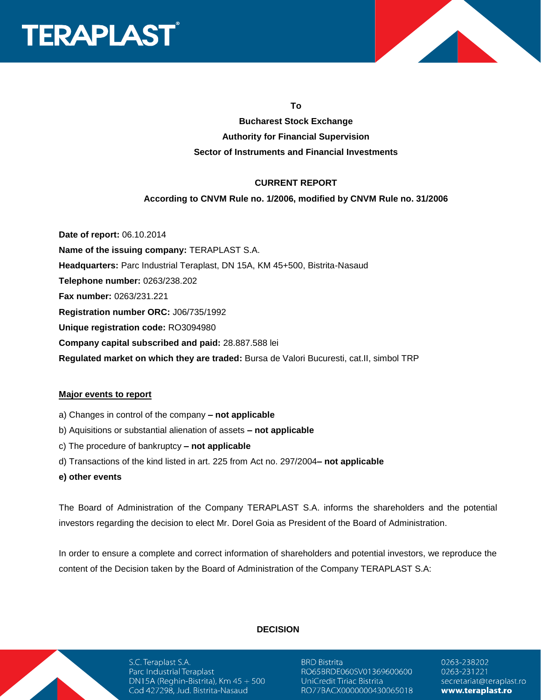



**To**

## **Bucharest Stock Exchange Authority for Financial Supervision Sector of Instruments and Financial Investments**

#### **CURRENT REPORT**

#### **According to CNVM Rule no. 1/2006, modified by CNVM Rule no. 31/2006**

**Date of report:** 06.10.2014 **Name of the issuing company:** TERAPLAST S.A. **Headquarters:** Parc Industrial Teraplast, DN 15A, KM 45+500, Bistrita-Nasaud **Telephone number:** 0263/238.202 **Fax number:** 0263/231.221 **Registration number ORC:** J06/735/1992 **Unique registration code:** RO3094980 **Company capital subscribed and paid:** 28.887.588 lei **Regulated market on which they are traded:** Bursa de Valori Bucuresti, cat.II, simbol TRP

#### **Major events to report**

- a) Changes in control of the company **– not applicable**
- b) Aquisitions or substantial alienation of assets **– not applicable**
- c) The procedure of bankruptcy **– not applicable**
- d) Transactions of the kind listed in art. 225 from Act no. 297/2004**– not applicable**
- **e) other events**

The Board of Administration of the Company TERAPLAST S.A. informs the shareholders and the potential investors regarding the decision to elect Mr. Dorel Goia as President of the Board of Administration.

In order to ensure a complete and correct information of shareholders and potential investors, we reproduce the content of the Decision taken by the Board of Administration of the Company TERAPLAST S.A:



S.C. Teraplast S.A. Parc Industrial Teraplast DN15A (Reghin-Bistrita), Km  $45 + 500$ Cod 427298, Jud. Bistrita-Nasaud

#### **DECISION**

**BRD Bistrita** RO65BRDE060SV01369600600 UniCredit Tiriac Bistrita RO77BACX0000000430065018

0263-238202 0263-231221 secretariat@teraplast.ro www.teraplast.ro